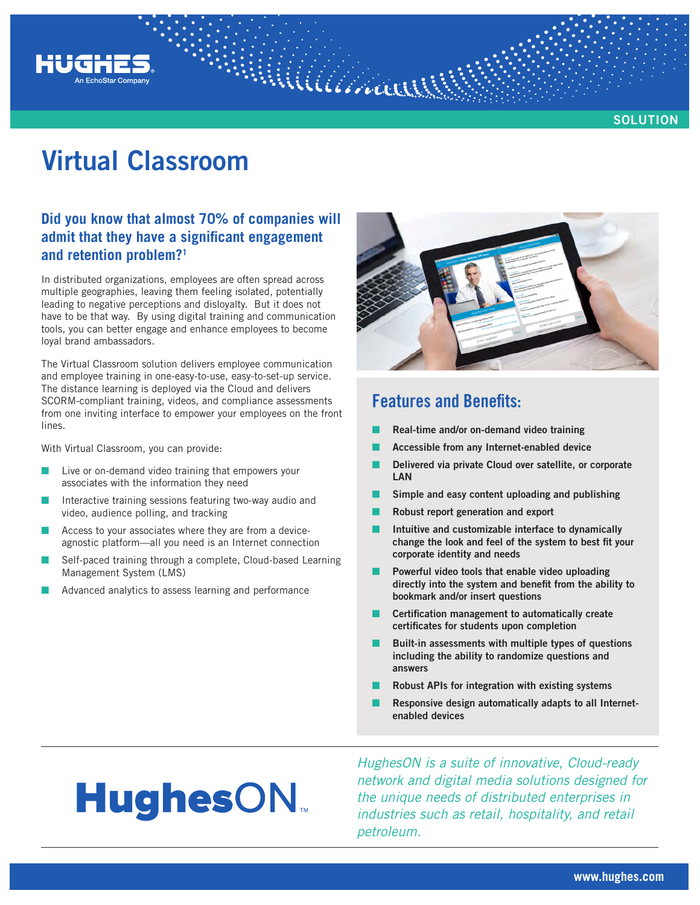

**SOLUTION**

## **Virtual Classroom**

## **Did you know that almost 70% of companies will admit that they have a significant engagement and retention problem?1**

In distributed organizations, employees are often spread across multiple geographies, leaving them feeling isolated, potentially leading to negative perceptions and disloyalty. But it does not have to be that way. By using digital training and communication tools, you can better engage and enhance employees to become loyal brand ambassadors.

The Virtual Classroom solution delivers employee communication and employee training in one-easy-to-use, easy-to-set-up service. The distance learning is deployed via the Cloud and delivers SCORM-compliant training, videos, and compliance assessments from one inviting interface to empower your employees on the front lines.

With Virtual Classroom, you can provide:

- Live or on-demand video training that empowers your associates with the information they need
- Interactive training sessions featuring two-way audio and video, audience polling, and tracking
- Access to your associates where they are from a deviceagnostic platform—all you need is an Internet connection
- Self-paced training through a complete, Cloud-based Learning Management System (LMS)
- Advanced analytics to assess learning and performance



## **Features and Benefits:**

- Q **Real-time and/or on-demand video training**
- Q **Accessible from any Internet-enabled device**
- Q **Delivered via private Cloud over satellite, or corporate LAN**
- Simple and easy content uploading and publishing
- Q **Robust report generation and export**
- Q **Intuitive and customizable interface to dynamically change the look and feel of the system to best fit your corporate identity and needs**
- Powerful video tools that enable video uploading **directly into the system and benefit from the ability to bookmark and/or insert questions**
- Q **Certification management to automatically create certificates for students upon completion**
- Built-in assessments with multiple types of questions **including the ability to randomize questions and answers**
- Q **Robust APIs for integration with existing systems**
- Responsive design automatically adapts to all Internet**enabled devices**

# **HughesON**

*HughesON is a suite of innovative, Cloud-ready network and digital media solutions designed for the unique needs of distributed enterprises in industries such as retail, hospitality, and retail petroleum.*